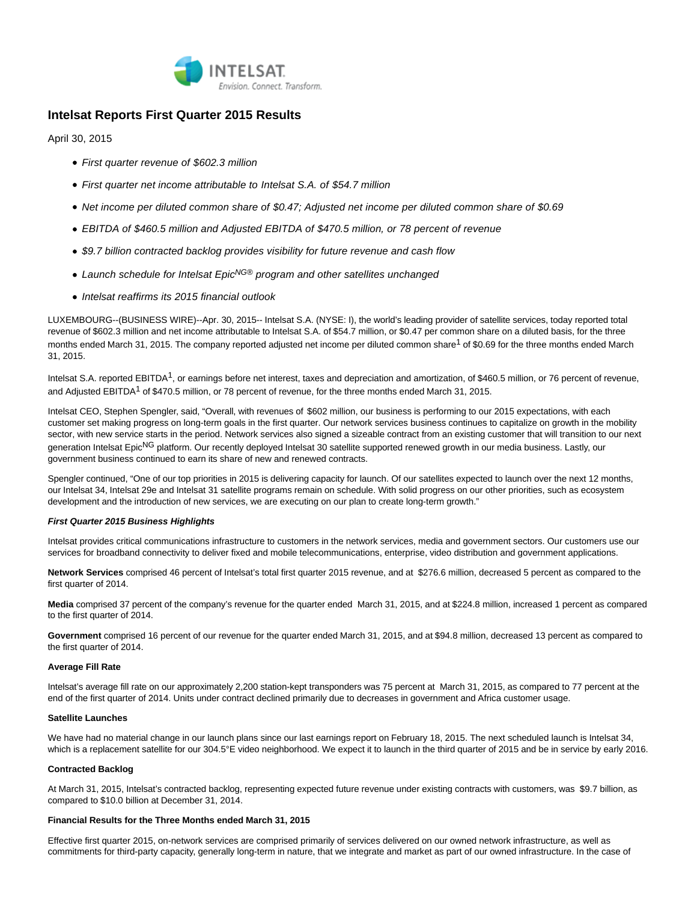

# **Intelsat Reports First Quarter 2015 Results**

April 30, 2015

- First quarter revenue of \$602.3 million
- First quarter net income attributable to Intelsat S.A. of \$54.7 million
- Net income per diluted common share of \$0.47; Adjusted net income per diluted common share of \$0.69
- EBITDA of \$460.5 million and Adjusted EBITDA of \$470.5 million, or 78 percent of revenue
- \$9.7 billion contracted backlog provides visibility for future revenue and cash flow
- Launch schedule for Intelsat Epic<sup>NG®</sup> program and other satellites unchanged
- Intelsat reaffirms its 2015 financial outlook

LUXEMBOURG--(BUSINESS WIRE)--Apr. 30, 2015-- Intelsat S.A. (NYSE: I), the world's leading provider of satellite services, today reported total revenue of \$602.3 million and net income attributable to Intelsat S.A. of \$54.7 million, or \$0.47 per common share on a diluted basis, for the three months ended March 31, 2015. The company reported adjusted net income per diluted common share<sup>1</sup> of \$0.69 for the three months ended March 31, 2015.

Intelsat S.A. reported EBITDA<sup>1</sup>, or earnings before net interest, taxes and depreciation and amortization, of \$460.5 million, or 76 percent of revenue, and Adjusted EBITDA<sup>1</sup> of \$470.5 million, or 78 percent of revenue, for the three months ended March 31, 2015.

Intelsat CEO, Stephen Spengler, said, "Overall, with revenues of \$602 million, our business is performing to our 2015 expectations, with each customer set making progress on long-term goals in the first quarter. Our network services business continues to capitalize on growth in the mobility sector, with new service starts in the period. Network services also signed a sizeable contract from an existing customer that will transition to our next generation Intelsat Epic<sup>NG</sup> platform. Our recently deployed Intelsat 30 satellite supported renewed growth in our media business. Lastly, our government business continued to earn its share of new and renewed contracts.

Spengler continued, "One of our top priorities in 2015 is delivering capacity for launch. Of our satellites expected to launch over the next 12 months, our Intelsat 34, Intelsat 29e and Intelsat 31 satellite programs remain on schedule. With solid progress on our other priorities, such as ecosystem development and the introduction of new services, we are executing on our plan to create long-term growth."

## **First Quarter 2015 Business Highlights**

Intelsat provides critical communications infrastructure to customers in the network services, media and government sectors. Our customers use our services for broadband connectivity to deliver fixed and mobile telecommunications, enterprise, video distribution and government applications.

**Network Services** comprised 46 percent of Intelsat's total first quarter 2015 revenue, and at \$276.6 million, decreased 5 percent as compared to the first quarter of 2014.

**Media** comprised 37 percent of the company's revenue for the quarter ended March 31, 2015, and at \$224.8 million, increased 1 percent as compared to the first quarter of 2014.

**Government** comprised 16 percent of our revenue for the quarter ended March 31, 2015, and at \$94.8 million, decreased 13 percent as compared to the first quarter of 2014.

## **Average Fill Rate**

Intelsat's average fill rate on our approximately 2,200 station-kept transponders was 75 percent at March 31, 2015, as compared to 77 percent at the end of the first quarter of 2014. Units under contract declined primarily due to decreases in government and Africa customer usage.

## **Satellite Launches**

We have had no material change in our launch plans since our last earnings report on February 18, 2015. The next scheduled launch is Intelsat 34, which is a replacement satellite for our 304.5°E video neighborhood. We expect it to launch in the third quarter of 2015 and be in service by early 2016.

## **Contracted Backlog**

At March 31, 2015, Intelsat's contracted backlog, representing expected future revenue under existing contracts with customers, was \$9.7 billion, as compared to \$10.0 billion at December 31, 2014.

## **Financial Results for the Three Months ended March 31, 2015**

Effective first quarter 2015, on-network services are comprised primarily of services delivered on our owned network infrastructure, as well as commitments for third-party capacity, generally long-term in nature, that we integrate and market as part of our owned infrastructure. In the case of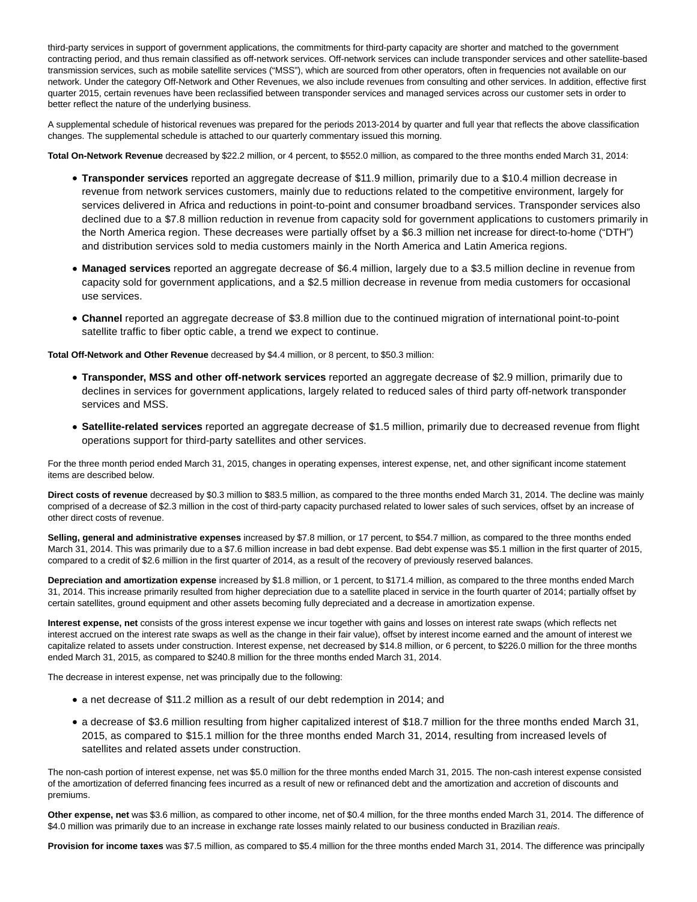third-party services in support of government applications, the commitments for third-party capacity are shorter and matched to the government contracting period, and thus remain classified as off-network services. Off-network services can include transponder services and other satellite-based transmission services, such as mobile satellite services ("MSS"), which are sourced from other operators, often in frequencies not available on our network. Under the category Off-Network and Other Revenues, we also include revenues from consulting and other services. In addition, effective first quarter 2015, certain revenues have been reclassified between transponder services and managed services across our customer sets in order to better reflect the nature of the underlying business.

A supplemental schedule of historical revenues was prepared for the periods 2013-2014 by quarter and full year that reflects the above classification changes. The supplemental schedule is attached to our quarterly commentary issued this morning.

**Total On-Network Revenue** decreased by \$22.2 million, or 4 percent, to \$552.0 million, as compared to the three months ended March 31, 2014:

- **Transponder services** reported an aggregate decrease of \$11.9 million, primarily due to a \$10.4 million decrease in revenue from network services customers, mainly due to reductions related to the competitive environment, largely for services delivered in Africa and reductions in point-to-point and consumer broadband services. Transponder services also declined due to a \$7.8 million reduction in revenue from capacity sold for government applications to customers primarily in the North America region. These decreases were partially offset by a \$6.3 million net increase for direct-to-home ("DTH") and distribution services sold to media customers mainly in the North America and Latin America regions.
- **Managed services** reported an aggregate decrease of \$6.4 million, largely due to a \$3.5 million decline in revenue from capacity sold for government applications, and a \$2.5 million decrease in revenue from media customers for occasional use services.
- **Channel** reported an aggregate decrease of \$3.8 million due to the continued migration of international point-to-point satellite traffic to fiber optic cable, a trend we expect to continue.

**Total Off-Network and Other Revenue** decreased by \$4.4 million, or 8 percent, to \$50.3 million:

- **Transponder, MSS and other off-network services** reported an aggregate decrease of \$2.9 million, primarily due to declines in services for government applications, largely related to reduced sales of third party off-network transponder services and MSS.
- **Satellite-related services** reported an aggregate decrease of \$1.5 million, primarily due to decreased revenue from flight operations support for third-party satellites and other services.

For the three month period ended March 31, 2015, changes in operating expenses, interest expense, net, and other significant income statement items are described below.

**Direct costs of revenue** decreased by \$0.3 million to \$83.5 million, as compared to the three months ended March 31, 2014. The decline was mainly comprised of a decrease of \$2.3 million in the cost of third-party capacity purchased related to lower sales of such services, offset by an increase of other direct costs of revenue.

**Selling, general and administrative expenses** increased by \$7.8 million, or 17 percent, to \$54.7 million, as compared to the three months ended March 31, 2014. This was primarily due to a \$7.6 million increase in bad debt expense. Bad debt expense was \$5.1 million in the first quarter of 2015, compared to a credit of \$2.6 million in the first quarter of 2014, as a result of the recovery of previously reserved balances.

**Depreciation and amortization expense** increased by \$1.8 million, or 1 percent, to \$171.4 million, as compared to the three months ended March 31, 2014. This increase primarily resulted from higher depreciation due to a satellite placed in service in the fourth quarter of 2014; partially offset by certain satellites, ground equipment and other assets becoming fully depreciated and a decrease in amortization expense.

**Interest expense, net** consists of the gross interest expense we incur together with gains and losses on interest rate swaps (which reflects net interest accrued on the interest rate swaps as well as the change in their fair value), offset by interest income earned and the amount of interest we capitalize related to assets under construction. Interest expense, net decreased by \$14.8 million, or 6 percent, to \$226.0 million for the three months ended March 31, 2015, as compared to \$240.8 million for the three months ended March 31, 2014.

The decrease in interest expense, net was principally due to the following:

- a net decrease of \$11.2 million as a result of our debt redemption in 2014; and
- a decrease of \$3.6 million resulting from higher capitalized interest of \$18.7 million for the three months ended March 31, 2015, as compared to \$15.1 million for the three months ended March 31, 2014, resulting from increased levels of satellites and related assets under construction.

The non-cash portion of interest expense, net was \$5.0 million for the three months ended March 31, 2015. The non-cash interest expense consisted of the amortization of deferred financing fees incurred as a result of new or refinanced debt and the amortization and accretion of discounts and premiums.

**Other expense, net** was \$3.6 million, as compared to other income, net of \$0.4 million, for the three months ended March 31, 2014. The difference of \$4.0 million was primarily due to an increase in exchange rate losses mainly related to our business conducted in Brazilian reais.

**Provision for income taxes** was \$7.5 million, as compared to \$5.4 million for the three months ended March 31, 2014. The difference was principally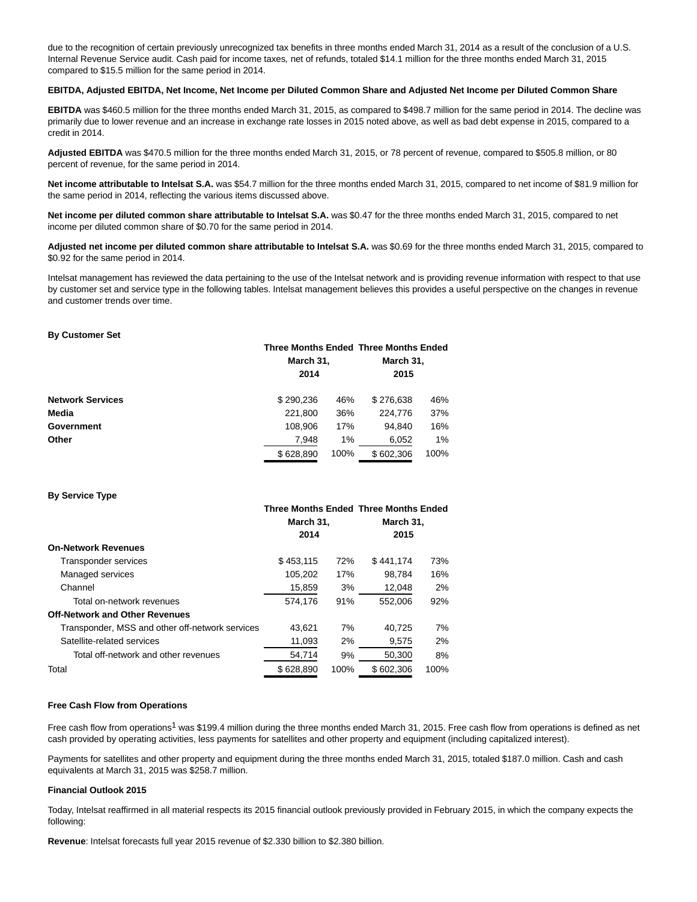due to the recognition of certain previously unrecognized tax benefits in three months ended March 31, 2014 as a result of the conclusion of a U.S. Internal Revenue Service audit. Cash paid for income taxes, net of refunds, totaled \$14.1 million for the three months ended March 31, 2015 compared to \$15.5 million for the same period in 2014.

### **EBITDA, Adjusted EBITDA, Net Income, Net Income per Diluted Common Share and Adjusted Net Income per Diluted Common Share**

**EBITDA** was \$460.5 million for the three months ended March 31, 2015, as compared to \$498.7 million for the same period in 2014. The decline was primarily due to lower revenue and an increase in exchange rate losses in 2015 noted above, as well as bad debt expense in 2015, compared to a credit in 2014.

**Adjusted EBITDA** was \$470.5 million for the three months ended March 31, 2015, or 78 percent of revenue, compared to \$505.8 million, or 80 percent of revenue, for the same period in 2014.

**Net income attributable to Intelsat S.A.** was \$54.7 million for the three months ended March 31, 2015, compared to net income of \$81.9 million for the same period in 2014, reflecting the various items discussed above.

**Net income per diluted common share attributable to Intelsat S.A.** was \$0.47 for the three months ended March 31, 2015, compared to net income per diluted common share of \$0.70 for the same period in 2014.

**Adjusted net income per diluted common share attributable to Intelsat S.A.** was \$0.69 for the three months ended March 31, 2015, compared to \$0.92 for the same period in 2014.

Intelsat management has reviewed the data pertaining to the use of the Intelsat network and is providing revenue information with respect to that use by customer set and service type in the following tables. Intelsat management believes this provides a useful perspective on the changes in revenue and customer trends over time.

### **By Customer Set**

|                         |           |      | Three Months Ended Three Months Ended |      |
|-------------------------|-----------|------|---------------------------------------|------|
|                         | March 31, |      | March 31,                             |      |
|                         | 2014      |      | 2015                                  |      |
| <b>Network Services</b> | \$290.236 | 46%  | \$276.638                             | 46%  |
| Media                   | 221,800   | 36%  | 224,776                               | 37%  |
| Government              | 108.906   | 17%  | 94.840                                | 16%  |
| Other                   | 7,948     | 1%   | 6,052                                 | 1%   |
|                         | \$628.890 | 100% | \$602.306                             | 100% |

### **By Service Type**

|                                                 | March 31, |      | <b>Three Months Ended Three Months Ended</b><br>March 31, |      |  |
|-------------------------------------------------|-----------|------|-----------------------------------------------------------|------|--|
|                                                 | 2014      |      | 2015                                                      |      |  |
| <b>On-Network Revenues</b>                      |           |      |                                                           |      |  |
| Transponder services                            | \$453.115 | 72%  | \$441,174                                                 | 73%  |  |
| Managed services                                | 105,202   | 17%  | 98.784                                                    | 16%  |  |
| Channel                                         | 15,859    | 3%   | 12,048                                                    | 2%   |  |
| Total on-network revenues                       | 574,176   | 91%  | 552.006                                                   | 92%  |  |
| <b>Off-Network and Other Revenues</b>           |           |      |                                                           |      |  |
| Transponder, MSS and other off-network services | 43,621    | 7%   | 40.725                                                    | 7%   |  |
| Satellite-related services                      | 11,093    | 2%   | 9,575                                                     | 2%   |  |
| Total off-network and other revenues            | 54,714    | 9%   | 50,300                                                    | 8%   |  |
| Total                                           | \$628.890 | 100% | \$602.306                                                 | 100% |  |

### **Free Cash Flow from Operations**

Free cash flow from operations<sup>1</sup> was \$199.4 million during the three months ended March 31, 2015. Free cash flow from operations is defined as net cash provided by operating activities, less payments for satellites and other property and equipment (including capitalized interest).

Payments for satellites and other property and equipment during the three months ended March 31, 2015, totaled \$187.0 million. Cash and cash equivalents at March 31, 2015 was \$258.7 million.

### **Financial Outlook 2015**

Today, Intelsat reaffirmed in all material respects its 2015 financial outlook previously provided in February 2015, in which the company expects the following:

**Revenue**: Intelsat forecasts full year 2015 revenue of \$2.330 billion to \$2.380 billion.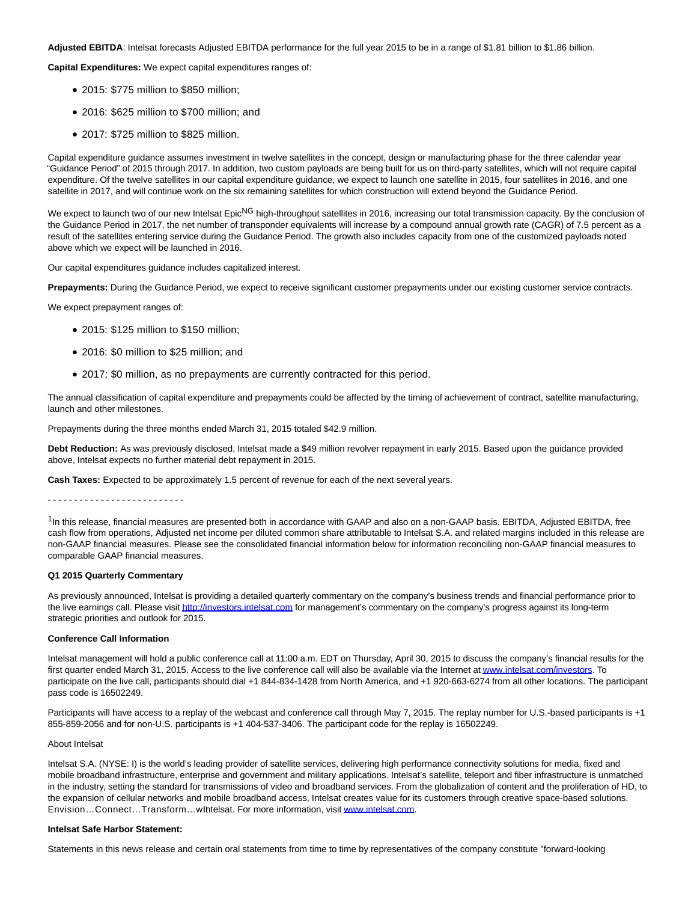**Adjusted EBITDA**: Intelsat forecasts Adjusted EBITDA performance for the full year 2015 to be in a range of \$1.81 billion to \$1.86 billion.

**Capital Expenditures:** We expect capital expenditures ranges of:

- 2015: \$775 million to \$850 million;
- 2016: \$625 million to \$700 million; and
- 2017: \$725 million to \$825 million.

Capital expenditure guidance assumes investment in twelve satellites in the concept, design or manufacturing phase for the three calendar year "Guidance Period" of 2015 through 2017. In addition, two custom payloads are being built for us on third-party satellites, which will not require capital expenditure. Of the twelve satellites in our capital expenditure guidance, we expect to launch one satellite in 2015, four satellites in 2016, and one satellite in 2017, and will continue work on the six remaining satellites for which construction will extend beyond the Guidance Period.

We expect to launch two of our new Intelsat Epic<sup>NG</sup> high-throughput satellites in 2016, increasing our total transmission capacity. By the conclusion of the Guidance Period in 2017, the net number of transponder equivalents will increase by a compound annual growth rate (CAGR) of 7.5 percent as a result of the satellites entering service during the Guidance Period. The growth also includes capacity from one of the customized payloads noted above which we expect will be launched in 2016.

Our capital expenditures guidance includes capitalized interest.

**Prepayments:** During the Guidance Period, we expect to receive significant customer prepayments under our existing customer service contracts.

We expect prepayment ranges of:

- 2015: \$125 million to \$150 million;
- 2016: \$0 million to \$25 million; and
- 2017: \$0 million, as no prepayments are currently contracted for this period.

The annual classification of capital expenditure and prepayments could be affected by the timing of achievement of contract, satellite manufacturing, launch and other milestones.

Prepayments during the three months ended March 31, 2015 totaled \$42.9 million.

**Debt Reduction:** As was previously disclosed, Intelsat made a \$49 million revolver repayment in early 2015. Based upon the guidance provided above, Intelsat expects no further material debt repayment in 2015.

**Cash Taxes:** Expected to be approximately 1.5 percent of revenue for each of the next several years.

- - - - - - - - - - - - - - - - - - - - - - - - - -

<sup>1</sup>In this release, financial measures are presented both in accordance with GAAP and also on a non-GAAP basis. EBITDA, Adjusted EBITDA, free cash flow from operations, Adjusted net income per diluted common share attributable to Intelsat S.A. and related margins included in this release are non-GAAP financial measures. Please see the consolidated financial information below for information reconciling non-GAAP financial measures to comparable GAAP financial measures.

## **Q1 2015 Quarterly Commentary**

As previously announced, Intelsat is providing a detailed quarterly commentary on the company's business trends and financial performance prior to the live earnings call. Please visi[t http://investors.intelsat.com f](http://cts.businesswire.com/ct/CT?id=smartlink&url=http%3A%2F%2Finvestors.intelsat.com&esheet=51092035&newsitemid=20150430005274&lan=en-US&anchor=http%3A%2F%2Finvestors.intelsat.com&index=1&md5=7c86d4c725ac5e10dfe21ff31a48f242)or management's commentary on the company's progress against its long-term strategic priorities and outlook for 2015.

## **Conference Call Information**

Intelsat management will hold a public conference call at 11:00 a.m. EDT on Thursday, April 30, 2015 to discuss the company's financial results for the first quarter ended March 31, 2015. Access to the live conference call will also be available via the Internet a[t www.intelsat.com/investors.](http://cts.businesswire.com/ct/CT?id=smartlink&url=http%3A%2F%2Fwww.intelsat.com%2Finvestors&esheet=51092035&newsitemid=20150430005274&lan=en-US&anchor=www.intelsat.com%2Finvestors&index=2&md5=7f1b5c0af9a3a1a47665e86c88fd4f4f) To participate on the live call, participants should dial +1 844-834-1428 from North America, and +1 920-663-6274 from all other locations. The participant pass code is 16502249.

Participants will have access to a replay of the webcast and conference call through May 7, 2015. The replay number for U.S.-based participants is +1 855-859-2056 and for non-U.S. participants is +1 404-537-3406. The participant code for the replay is 16502249.

### About Intelsat

Intelsat S.A. (NYSE: I) is the world's leading provider of satellite services, delivering high performance connectivity solutions for media, fixed and mobile broadband infrastructure, enterprise and government and military applications. Intelsat's satellite, teleport and fiber infrastructure is unmatched in the industry, setting the standard for transmissions of video and broadband services. From the globalization of content and the proliferation of HD, to the expansion of cellular networks and mobile broadband access, Intelsat creates value for its customers through creative space-based solutions. Envision...Connect...Transform...wintelsat. For more information, visi[t www.intelsat.com.](http://cts.businesswire.com/ct/CT?id=smartlink&url=http%3A%2F%2Fwww.intelsat.com&esheet=51092035&newsitemid=20150430005274&lan=en-US&anchor=www.intelsat.com&index=3&md5=f87b9006ba4ddb2674e54537bd9372cf)

#### **Intelsat Safe Harbor Statement:**

Statements in this news release and certain oral statements from time to time by representatives of the company constitute "forward-looking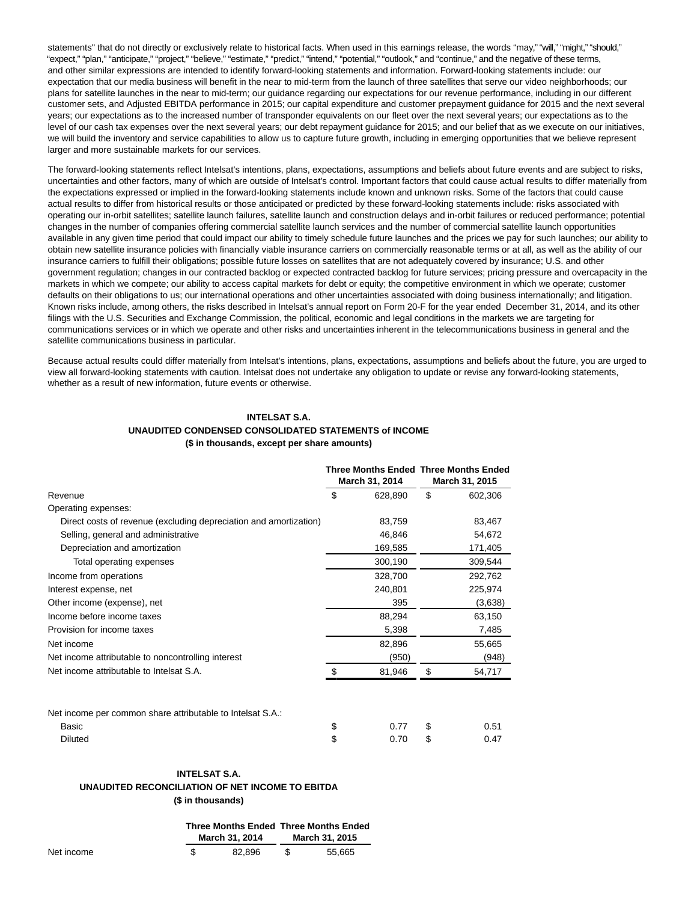statements" that do not directly or exclusively relate to historical facts. When used in this earnings release, the words "may," "will," "might," "should," "expect," "plan," "anticipate," "project," "believe," "estimate," "predict," "intend," "potential," "outlook," and "continue," and the negative of these terms, and other similar expressions are intended to identify forward-looking statements and information. Forward-looking statements include: our expectation that our media business will benefit in the near to mid-term from the launch of three satellites that serve our video neighborhoods; our plans for satellite launches in the near to mid-term; our guidance regarding our expectations for our revenue performance, including in our different customer sets, and Adjusted EBITDA performance in 2015; our capital expenditure and customer prepayment guidance for 2015 and the next several years; our expectations as to the increased number of transponder equivalents on our fleet over the next several years; our expectations as to the level of our cash tax expenses over the next several years; our debt repayment guidance for 2015; and our belief that as we execute on our initiatives, we will build the inventory and service capabilities to allow us to capture future growth, including in emerging opportunities that we believe represent larger and more sustainable markets for our services.

The forward-looking statements reflect Intelsat's intentions, plans, expectations, assumptions and beliefs about future events and are subject to risks, uncertainties and other factors, many of which are outside of Intelsat's control. Important factors that could cause actual results to differ materially from the expectations expressed or implied in the forward-looking statements include known and unknown risks. Some of the factors that could cause actual results to differ from historical results or those anticipated or predicted by these forward-looking statements include: risks associated with operating our in-orbit satellites; satellite launch failures, satellite launch and construction delays and in-orbit failures or reduced performance; potential changes in the number of companies offering commercial satellite launch services and the number of commercial satellite launch opportunities available in any given time period that could impact our ability to timely schedule future launches and the prices we pay for such launches; our ability to obtain new satellite insurance policies with financially viable insurance carriers on commercially reasonable terms or at all, as well as the ability of our insurance carriers to fulfill their obligations; possible future losses on satellites that are not adequately covered by insurance; U.S. and other government regulation; changes in our contracted backlog or expected contracted backlog for future services; pricing pressure and overcapacity in the markets in which we compete; our ability to access capital markets for debt or equity; the competitive environment in which we operate; customer defaults on their obligations to us; our international operations and other uncertainties associated with doing business internationally; and litigation. Known risks include, among others, the risks described in Intelsat's annual report on Form 20-F for the year ended December 31, 2014, and its other filings with the U.S. Securities and Exchange Commission, the political, economic and legal conditions in the markets we are targeting for communications services or in which we operate and other risks and uncertainties inherent in the telecommunications business in general and the satellite communications business in particular.

Because actual results could differ materially from Intelsat's intentions, plans, expectations, assumptions and beliefs about the future, you are urged to view all forward-looking statements with caution. Intelsat does not undertake any obligation to update or revise any forward-looking statements, whether as a result of new information, future events or otherwise.

# **INTELSAT S.A. UNAUDITED CONDENSED CONSOLIDATED STATEMENTS of INCOME (\$ in thousands, except per share amounts)**

|                                                                   | <b>Three Months Ended Three Months Ended</b><br>March 31, 2014 |         | March 31, 2015 |         |
|-------------------------------------------------------------------|----------------------------------------------------------------|---------|----------------|---------|
| Revenue                                                           | \$                                                             | 628,890 | \$             | 602,306 |
| Operating expenses:                                               |                                                                |         |                |         |
| Direct costs of revenue (excluding depreciation and amortization) |                                                                | 83,759  |                | 83,467  |
| Selling, general and administrative                               |                                                                | 46,846  |                | 54,672  |
| Depreciation and amortization                                     |                                                                | 169,585 |                | 171,405 |
| Total operating expenses                                          |                                                                | 300,190 |                | 309,544 |
| Income from operations                                            |                                                                | 328.700 |                | 292,762 |
| Interest expense, net                                             |                                                                | 240,801 |                | 225,974 |
| Other income (expense), net                                       |                                                                | 395     |                | (3,638) |
| Income before income taxes                                        |                                                                | 88,294  |                | 63,150  |
| Provision for income taxes                                        |                                                                | 5,398   |                | 7,485   |
| Net income                                                        |                                                                | 82,896  |                | 55,665  |
| Net income attributable to noncontrolling interest                |                                                                | (950)   |                | (948)   |
| Net income attributable to Intelsat S.A.                          |                                                                | 81,946  | \$             | 54,717  |

Net income per common share attributable to Intelsat S.A.:

| <b>Basic</b>   | 0.77 | 0.51       |
|----------------|------|------------|
| <b>Diluted</b> | 0.70 | \$<br>0.47 |

# **INTELSAT S.A.**

# **UNAUDITED RECONCILIATION OF NET INCOME TO EBITDA**

**(\$ in thousands)**

|                |    |        | <b>Three Months Ended Three Months Ended</b> |        |  |  |
|----------------|----|--------|----------------------------------------------|--------|--|--|
| March 31, 2014 |    |        | March 31, 2015                               |        |  |  |
|                | \$ | 82.896 | \$                                           | 55,665 |  |  |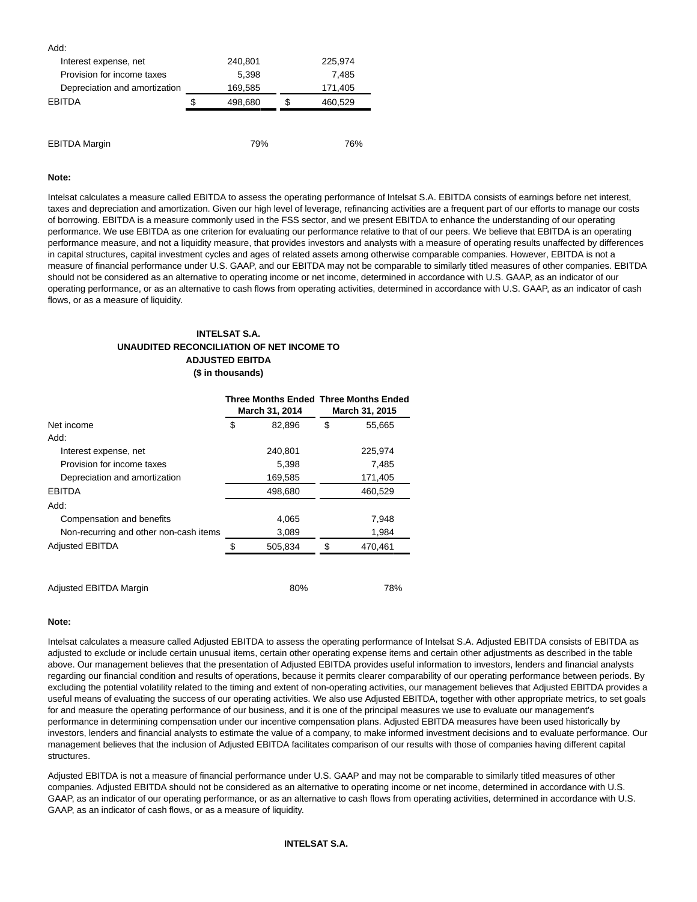| Add:                          |   |         |   |         |
|-------------------------------|---|---------|---|---------|
| Interest expense, net         |   | 240,801 |   | 225,974 |
| Provision for income taxes    |   | 5,398   |   | 7,485   |
| Depreciation and amortization |   | 169,585 |   | 171,405 |
| <b>EBITDA</b>                 | S | 498,680 | S | 460,529 |
|                               |   |         |   |         |
|                               |   |         |   |         |

| <b>EBITDA Margin</b> | 79% | 76% |
|----------------------|-----|-----|
|                      |     |     |

## **Note:**

Intelsat calculates a measure called EBITDA to assess the operating performance of Intelsat S.A. EBITDA consists of earnings before net interest, taxes and depreciation and amortization. Given our high level of leverage, refinancing activities are a frequent part of our efforts to manage our costs of borrowing. EBITDA is a measure commonly used in the FSS sector, and we present EBITDA to enhance the understanding of our operating performance. We use EBITDA as one criterion for evaluating our performance relative to that of our peers. We believe that EBITDA is an operating performance measure, and not a liquidity measure, that provides investors and analysts with a measure of operating results unaffected by differences in capital structures, capital investment cycles and ages of related assets among otherwise comparable companies. However, EBITDA is not a measure of financial performance under U.S. GAAP, and our EBITDA may not be comparable to similarly titled measures of other companies. EBITDA should not be considered as an alternative to operating income or net income, determined in accordance with U.S. GAAP, as an indicator of our operating performance, or as an alternative to cash flows from operating activities, determined in accordance with U.S. GAAP, as an indicator of cash flows, or as a measure of liquidity.

## **INTELSAT S.A. UNAUDITED RECONCILIATION OF NET INCOME TO ADJUSTED EBITDA (\$ in thousands)**

|                                        |    | Three Months Ended Three Months Ended<br>March 31, 2014 | <b>March 31, 2015</b> |         |
|----------------------------------------|----|---------------------------------------------------------|-----------------------|---------|
| Net income                             | \$ | 82.896                                                  | \$                    | 55,665  |
| Add:                                   |    |                                                         |                       |         |
| Interest expense, net                  |    | 240,801                                                 |                       | 225,974 |
| Provision for income taxes             |    | 5,398                                                   |                       | 7,485   |
| Depreciation and amortization          |    | 169,585                                                 |                       | 171,405 |
| <b>EBITDA</b>                          |    | 498,680                                                 |                       | 460,529 |
| Add:                                   |    |                                                         |                       |         |
| Compensation and benefits              |    | 4,065                                                   |                       | 7,948   |
| Non-recurring and other non-cash items |    | 3,089                                                   |                       | 1,984   |
| <b>Adjusted EBITDA</b>                 | \$ | 505,834                                                 | \$                    | 470,461 |
|                                        |    |                                                         |                       |         |
| <b>Adjusted EBITDA Margin</b>          |    | 80%                                                     |                       | 78%     |

## **Note:**

Intelsat calculates a measure called Adjusted EBITDA to assess the operating performance of Intelsat S.A. Adjusted EBITDA consists of EBITDA as adjusted to exclude or include certain unusual items, certain other operating expense items and certain other adjustments as described in the table above. Our management believes that the presentation of Adjusted EBITDA provides useful information to investors, lenders and financial analysts regarding our financial condition and results of operations, because it permits clearer comparability of our operating performance between periods. By excluding the potential volatility related to the timing and extent of non-operating activities, our management believes that Adjusted EBITDA provides a useful means of evaluating the success of our operating activities. We also use Adjusted EBITDA, together with other appropriate metrics, to set goals for and measure the operating performance of our business, and it is one of the principal measures we use to evaluate our management's performance in determining compensation under our incentive compensation plans. Adjusted EBITDA measures have been used historically by investors, lenders and financial analysts to estimate the value of a company, to make informed investment decisions and to evaluate performance. Our management believes that the inclusion of Adjusted EBITDA facilitates comparison of our results with those of companies having different capital structures.

Adjusted EBITDA is not a measure of financial performance under U.S. GAAP and may not be comparable to similarly titled measures of other companies. Adjusted EBITDA should not be considered as an alternative to operating income or net income, determined in accordance with U.S. GAAP, as an indicator of our operating performance, or as an alternative to cash flows from operating activities, determined in accordance with U.S. GAAP, as an indicator of cash flows, or as a measure of liquidity.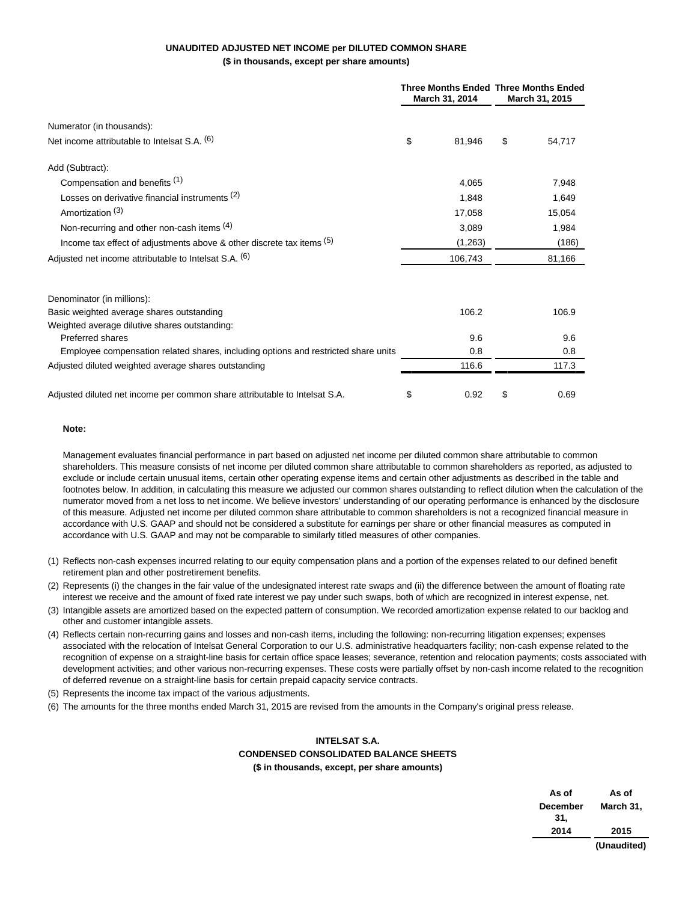## **UNAUDITED ADJUSTED NET INCOME per DILUTED COMMON SHARE (\$ in thousands, except per share amounts)**

|                                                                                    |    | March 31, 2014 | <b>Three Months Ended Three Months Ended</b><br>March 31, 2015 |        |
|------------------------------------------------------------------------------------|----|----------------|----------------------------------------------------------------|--------|
| Numerator (in thousands):                                                          |    |                |                                                                |        |
| Net income attributable to Intelsat S.A. (6)                                       | \$ | 81.946         | \$                                                             | 54,717 |
| Add (Subtract):                                                                    |    |                |                                                                |        |
| Compensation and benefits (1)                                                      |    | 4,065          |                                                                | 7,948  |
| Losses on derivative financial instruments (2)                                     |    | 1.848          |                                                                | 1,649  |
| Amortization <sup>(3)</sup>                                                        |    | 17,058         |                                                                | 15,054 |
| Non-recurring and other non-cash items (4)                                         |    | 3,089          |                                                                | 1.984  |
| Income tax effect of adjustments above & other discrete tax items (5)              |    | (1,263)        |                                                                | (186)  |
| Adjusted net income attributable to Intelsat S.A. (6)                              |    | 106,743        |                                                                | 81,166 |
| Denominator (in millions):                                                         |    |                |                                                                |        |
| Basic weighted average shares outstanding                                          |    | 106.2          |                                                                | 106.9  |
| Weighted average dilutive shares outstanding:                                      |    |                |                                                                |        |
| Preferred shares                                                                   |    | 9.6            |                                                                | 9.6    |
| Employee compensation related shares, including options and restricted share units |    | 0.8            |                                                                | 0.8    |
| Adjusted diluted weighted average shares outstanding                               |    | 116.6          |                                                                | 117.3  |
| Adjusted diluted net income per common share attributable to Intelsat S.A.         | \$ | 0.92           | \$                                                             | 0.69   |

### **Note:**

Management evaluates financial performance in part based on adjusted net income per diluted common share attributable to common shareholders. This measure consists of net income per diluted common share attributable to common shareholders as reported, as adjusted to exclude or include certain unusual items, certain other operating expense items and certain other adjustments as described in the table and footnotes below. In addition, in calculating this measure we adjusted our common shares outstanding to reflect dilution when the calculation of the numerator moved from a net loss to net income. We believe investors' understanding of our operating performance is enhanced by the disclosure of this measure. Adjusted net income per diluted common share attributable to common shareholders is not a recognized financial measure in accordance with U.S. GAAP and should not be considered a substitute for earnings per share or other financial measures as computed in accordance with U.S. GAAP and may not be comparable to similarly titled measures of other companies.

- (1) Reflects non-cash expenses incurred relating to our equity compensation plans and a portion of the expenses related to our defined benefit retirement plan and other postretirement benefits.
- (2) Represents (i) the changes in the fair value of the undesignated interest rate swaps and (ii) the difference between the amount of floating rate interest we receive and the amount of fixed rate interest we pay under such swaps, both of which are recognized in interest expense, net.
- (3) Intangible assets are amortized based on the expected pattern of consumption. We recorded amortization expense related to our backlog and other and customer intangible assets.
- (4) Reflects certain non-recurring gains and losses and non-cash items, including the following: non-recurring litigation expenses; expenses associated with the relocation of Intelsat General Corporation to our U.S. administrative headquarters facility; non-cash expense related to the recognition of expense on a straight-line basis for certain office space leases; severance, retention and relocation payments; costs associated with development activities; and other various non-recurring expenses. These costs were partially offset by non-cash income related to the recognition of deferred revenue on a straight-line basis for certain prepaid capacity service contracts.
- (5) Represents the income tax impact of the various adjustments.
- (6) The amounts for the three months ended March 31, 2015 are revised from the amounts in the Company's original press release.

# **INTELSAT S.A.**

# **CONDENSED CONSOLIDATED BALANCE SHEETS**

**(\$ in thousands, except, per share amounts)**

| As of           | As of       |
|-----------------|-------------|
| <b>December</b> | March 31,   |
| 31,             |             |
| 2014            | 2015        |
|                 | (Unaudited) |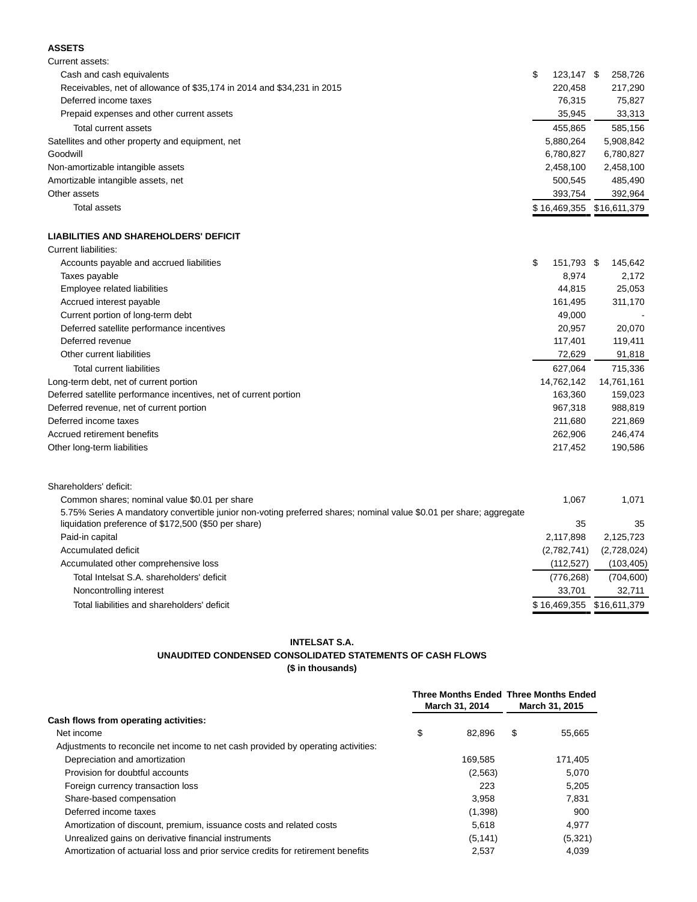# **ASSETS**

| \$<br>123,147 \$<br>258,726<br>Cash and cash equivalents<br>220,458<br>217,290<br>Receivables, net of allowance of \$35,174 in 2014 and \$34,231 in 2015<br>Deferred income taxes<br>76,315<br>75,827<br>35,945<br>Prepaid expenses and other current assets<br>Total current assets<br>455,865<br>Satellites and other property and equipment, net<br>5,880,264<br>5,908,842<br>Goodwill<br>6,780,827<br>6,780,827<br>Non-amortizable intangible assets<br>2,458,100<br>2,458,100<br>485,490<br>Amortizable intangible assets, net<br>500,545<br>393,754<br>Other assets<br><b>Total assets</b><br>\$16,469,355<br>\$16,611,379<br><b>LIABILITIES AND SHAREHOLDERS' DEFICIT</b><br>Current liabilities:<br>\$<br>151,793 \$<br>Accounts payable and accrued liabilities<br>8,974<br>2,172<br>Taxes payable<br>44,815<br>Employee related liabilities<br>Accrued interest payable<br>161,495<br>311,170<br>Current portion of long-term debt<br>49,000<br>Deferred satellite performance incentives<br>20,070<br>20,957<br>Deferred revenue<br>117,401<br>119,411<br>Other current liabilities<br>72,629<br>627,064<br>715,336<br>Total current liabilities<br>14,762,142<br>14,761,161<br>Long-term debt, net of current portion<br>163,360<br>Deferred satellite performance incentives, net of current portion<br>Deferred revenue, net of current portion<br>967,318<br>988,819<br>221,869<br>Deferred income taxes<br>211,680<br>Accrued retirement benefits<br>262,906<br>246,474<br>Other long-term liabilities<br>217,452<br>190,586<br>Shareholders' deficit:<br>Common shares; nominal value \$0.01 per share<br>1,067<br>1,071<br>5.75% Series A mandatory convertible junior non-voting preferred shares; nominal value \$0.01 per share; aggregate<br>liquidation preference of \$172,500 (\$50 per share)<br>35<br>35<br>2,125,723<br>Paid-in capital<br>2,117,898<br>Accumulated deficit<br>(2,782,741)<br>(112, 527)<br>Accumulated other comprehensive loss<br>Total Intelsat S.A. shareholders' deficit<br>(776, 268)<br>32,711<br>Noncontrolling interest<br>33,701<br>Total liabilities and shareholders' deficit<br>\$16,469,355 \$16,611,379 | Current assets: |             |
|--------------------------------------------------------------------------------------------------------------------------------------------------------------------------------------------------------------------------------------------------------------------------------------------------------------------------------------------------------------------------------------------------------------------------------------------------------------------------------------------------------------------------------------------------------------------------------------------------------------------------------------------------------------------------------------------------------------------------------------------------------------------------------------------------------------------------------------------------------------------------------------------------------------------------------------------------------------------------------------------------------------------------------------------------------------------------------------------------------------------------------------------------------------------------------------------------------------------------------------------------------------------------------------------------------------------------------------------------------------------------------------------------------------------------------------------------------------------------------------------------------------------------------------------------------------------------------------------------------------------------------------------------------------------------------------------------------------------------------------------------------------------------------------------------------------------------------------------------------------------------------------------------------------------------------------------------------------------------------------------------------------------------------------------------------------------------------------------------------------------------------------------------------------------|-----------------|-------------|
|                                                                                                                                                                                                                                                                                                                                                                                                                                                                                                                                                                                                                                                                                                                                                                                                                                                                                                                                                                                                                                                                                                                                                                                                                                                                                                                                                                                                                                                                                                                                                                                                                                                                                                                                                                                                                                                                                                                                                                                                                                                                                                                                                                    |                 |             |
|                                                                                                                                                                                                                                                                                                                                                                                                                                                                                                                                                                                                                                                                                                                                                                                                                                                                                                                                                                                                                                                                                                                                                                                                                                                                                                                                                                                                                                                                                                                                                                                                                                                                                                                                                                                                                                                                                                                                                                                                                                                                                                                                                                    |                 |             |
|                                                                                                                                                                                                                                                                                                                                                                                                                                                                                                                                                                                                                                                                                                                                                                                                                                                                                                                                                                                                                                                                                                                                                                                                                                                                                                                                                                                                                                                                                                                                                                                                                                                                                                                                                                                                                                                                                                                                                                                                                                                                                                                                                                    |                 |             |
|                                                                                                                                                                                                                                                                                                                                                                                                                                                                                                                                                                                                                                                                                                                                                                                                                                                                                                                                                                                                                                                                                                                                                                                                                                                                                                                                                                                                                                                                                                                                                                                                                                                                                                                                                                                                                                                                                                                                                                                                                                                                                                                                                                    |                 | 33,313      |
|                                                                                                                                                                                                                                                                                                                                                                                                                                                                                                                                                                                                                                                                                                                                                                                                                                                                                                                                                                                                                                                                                                                                                                                                                                                                                                                                                                                                                                                                                                                                                                                                                                                                                                                                                                                                                                                                                                                                                                                                                                                                                                                                                                    |                 | 585,156     |
|                                                                                                                                                                                                                                                                                                                                                                                                                                                                                                                                                                                                                                                                                                                                                                                                                                                                                                                                                                                                                                                                                                                                                                                                                                                                                                                                                                                                                                                                                                                                                                                                                                                                                                                                                                                                                                                                                                                                                                                                                                                                                                                                                                    |                 |             |
|                                                                                                                                                                                                                                                                                                                                                                                                                                                                                                                                                                                                                                                                                                                                                                                                                                                                                                                                                                                                                                                                                                                                                                                                                                                                                                                                                                                                                                                                                                                                                                                                                                                                                                                                                                                                                                                                                                                                                                                                                                                                                                                                                                    |                 |             |
|                                                                                                                                                                                                                                                                                                                                                                                                                                                                                                                                                                                                                                                                                                                                                                                                                                                                                                                                                                                                                                                                                                                                                                                                                                                                                                                                                                                                                                                                                                                                                                                                                                                                                                                                                                                                                                                                                                                                                                                                                                                                                                                                                                    |                 |             |
|                                                                                                                                                                                                                                                                                                                                                                                                                                                                                                                                                                                                                                                                                                                                                                                                                                                                                                                                                                                                                                                                                                                                                                                                                                                                                                                                                                                                                                                                                                                                                                                                                                                                                                                                                                                                                                                                                                                                                                                                                                                                                                                                                                    |                 |             |
|                                                                                                                                                                                                                                                                                                                                                                                                                                                                                                                                                                                                                                                                                                                                                                                                                                                                                                                                                                                                                                                                                                                                                                                                                                                                                                                                                                                                                                                                                                                                                                                                                                                                                                                                                                                                                                                                                                                                                                                                                                                                                                                                                                    |                 | 392,964     |
|                                                                                                                                                                                                                                                                                                                                                                                                                                                                                                                                                                                                                                                                                                                                                                                                                                                                                                                                                                                                                                                                                                                                                                                                                                                                                                                                                                                                                                                                                                                                                                                                                                                                                                                                                                                                                                                                                                                                                                                                                                                                                                                                                                    |                 |             |
|                                                                                                                                                                                                                                                                                                                                                                                                                                                                                                                                                                                                                                                                                                                                                                                                                                                                                                                                                                                                                                                                                                                                                                                                                                                                                                                                                                                                                                                                                                                                                                                                                                                                                                                                                                                                                                                                                                                                                                                                                                                                                                                                                                    |                 |             |
|                                                                                                                                                                                                                                                                                                                                                                                                                                                                                                                                                                                                                                                                                                                                                                                                                                                                                                                                                                                                                                                                                                                                                                                                                                                                                                                                                                                                                                                                                                                                                                                                                                                                                                                                                                                                                                                                                                                                                                                                                                                                                                                                                                    |                 |             |
|                                                                                                                                                                                                                                                                                                                                                                                                                                                                                                                                                                                                                                                                                                                                                                                                                                                                                                                                                                                                                                                                                                                                                                                                                                                                                                                                                                                                                                                                                                                                                                                                                                                                                                                                                                                                                                                                                                                                                                                                                                                                                                                                                                    |                 | 145,642     |
|                                                                                                                                                                                                                                                                                                                                                                                                                                                                                                                                                                                                                                                                                                                                                                                                                                                                                                                                                                                                                                                                                                                                                                                                                                                                                                                                                                                                                                                                                                                                                                                                                                                                                                                                                                                                                                                                                                                                                                                                                                                                                                                                                                    |                 |             |
|                                                                                                                                                                                                                                                                                                                                                                                                                                                                                                                                                                                                                                                                                                                                                                                                                                                                                                                                                                                                                                                                                                                                                                                                                                                                                                                                                                                                                                                                                                                                                                                                                                                                                                                                                                                                                                                                                                                                                                                                                                                                                                                                                                    |                 | 25,053      |
|                                                                                                                                                                                                                                                                                                                                                                                                                                                                                                                                                                                                                                                                                                                                                                                                                                                                                                                                                                                                                                                                                                                                                                                                                                                                                                                                                                                                                                                                                                                                                                                                                                                                                                                                                                                                                                                                                                                                                                                                                                                                                                                                                                    |                 |             |
|                                                                                                                                                                                                                                                                                                                                                                                                                                                                                                                                                                                                                                                                                                                                                                                                                                                                                                                                                                                                                                                                                                                                                                                                                                                                                                                                                                                                                                                                                                                                                                                                                                                                                                                                                                                                                                                                                                                                                                                                                                                                                                                                                                    |                 |             |
|                                                                                                                                                                                                                                                                                                                                                                                                                                                                                                                                                                                                                                                                                                                                                                                                                                                                                                                                                                                                                                                                                                                                                                                                                                                                                                                                                                                                                                                                                                                                                                                                                                                                                                                                                                                                                                                                                                                                                                                                                                                                                                                                                                    |                 |             |
|                                                                                                                                                                                                                                                                                                                                                                                                                                                                                                                                                                                                                                                                                                                                                                                                                                                                                                                                                                                                                                                                                                                                                                                                                                                                                                                                                                                                                                                                                                                                                                                                                                                                                                                                                                                                                                                                                                                                                                                                                                                                                                                                                                    |                 |             |
|                                                                                                                                                                                                                                                                                                                                                                                                                                                                                                                                                                                                                                                                                                                                                                                                                                                                                                                                                                                                                                                                                                                                                                                                                                                                                                                                                                                                                                                                                                                                                                                                                                                                                                                                                                                                                                                                                                                                                                                                                                                                                                                                                                    |                 | 91,818      |
|                                                                                                                                                                                                                                                                                                                                                                                                                                                                                                                                                                                                                                                                                                                                                                                                                                                                                                                                                                                                                                                                                                                                                                                                                                                                                                                                                                                                                                                                                                                                                                                                                                                                                                                                                                                                                                                                                                                                                                                                                                                                                                                                                                    |                 |             |
|                                                                                                                                                                                                                                                                                                                                                                                                                                                                                                                                                                                                                                                                                                                                                                                                                                                                                                                                                                                                                                                                                                                                                                                                                                                                                                                                                                                                                                                                                                                                                                                                                                                                                                                                                                                                                                                                                                                                                                                                                                                                                                                                                                    |                 |             |
|                                                                                                                                                                                                                                                                                                                                                                                                                                                                                                                                                                                                                                                                                                                                                                                                                                                                                                                                                                                                                                                                                                                                                                                                                                                                                                                                                                                                                                                                                                                                                                                                                                                                                                                                                                                                                                                                                                                                                                                                                                                                                                                                                                    |                 | 159,023     |
|                                                                                                                                                                                                                                                                                                                                                                                                                                                                                                                                                                                                                                                                                                                                                                                                                                                                                                                                                                                                                                                                                                                                                                                                                                                                                                                                                                                                                                                                                                                                                                                                                                                                                                                                                                                                                                                                                                                                                                                                                                                                                                                                                                    |                 |             |
|                                                                                                                                                                                                                                                                                                                                                                                                                                                                                                                                                                                                                                                                                                                                                                                                                                                                                                                                                                                                                                                                                                                                                                                                                                                                                                                                                                                                                                                                                                                                                                                                                                                                                                                                                                                                                                                                                                                                                                                                                                                                                                                                                                    |                 |             |
|                                                                                                                                                                                                                                                                                                                                                                                                                                                                                                                                                                                                                                                                                                                                                                                                                                                                                                                                                                                                                                                                                                                                                                                                                                                                                                                                                                                                                                                                                                                                                                                                                                                                                                                                                                                                                                                                                                                                                                                                                                                                                                                                                                    |                 |             |
|                                                                                                                                                                                                                                                                                                                                                                                                                                                                                                                                                                                                                                                                                                                                                                                                                                                                                                                                                                                                                                                                                                                                                                                                                                                                                                                                                                                                                                                                                                                                                                                                                                                                                                                                                                                                                                                                                                                                                                                                                                                                                                                                                                    |                 |             |
|                                                                                                                                                                                                                                                                                                                                                                                                                                                                                                                                                                                                                                                                                                                                                                                                                                                                                                                                                                                                                                                                                                                                                                                                                                                                                                                                                                                                                                                                                                                                                                                                                                                                                                                                                                                                                                                                                                                                                                                                                                                                                                                                                                    |                 |             |
|                                                                                                                                                                                                                                                                                                                                                                                                                                                                                                                                                                                                                                                                                                                                                                                                                                                                                                                                                                                                                                                                                                                                                                                                                                                                                                                                                                                                                                                                                                                                                                                                                                                                                                                                                                                                                                                                                                                                                                                                                                                                                                                                                                    |                 |             |
|                                                                                                                                                                                                                                                                                                                                                                                                                                                                                                                                                                                                                                                                                                                                                                                                                                                                                                                                                                                                                                                                                                                                                                                                                                                                                                                                                                                                                                                                                                                                                                                                                                                                                                                                                                                                                                                                                                                                                                                                                                                                                                                                                                    |                 |             |
|                                                                                                                                                                                                                                                                                                                                                                                                                                                                                                                                                                                                                                                                                                                                                                                                                                                                                                                                                                                                                                                                                                                                                                                                                                                                                                                                                                                                                                                                                                                                                                                                                                                                                                                                                                                                                                                                                                                                                                                                                                                                                                                                                                    |                 |             |
|                                                                                                                                                                                                                                                                                                                                                                                                                                                                                                                                                                                                                                                                                                                                                                                                                                                                                                                                                                                                                                                                                                                                                                                                                                                                                                                                                                                                                                                                                                                                                                                                                                                                                                                                                                                                                                                                                                                                                                                                                                                                                                                                                                    |                 |             |
|                                                                                                                                                                                                                                                                                                                                                                                                                                                                                                                                                                                                                                                                                                                                                                                                                                                                                                                                                                                                                                                                                                                                                                                                                                                                                                                                                                                                                                                                                                                                                                                                                                                                                                                                                                                                                                                                                                                                                                                                                                                                                                                                                                    |                 | (2,728,024) |
|                                                                                                                                                                                                                                                                                                                                                                                                                                                                                                                                                                                                                                                                                                                                                                                                                                                                                                                                                                                                                                                                                                                                                                                                                                                                                                                                                                                                                                                                                                                                                                                                                                                                                                                                                                                                                                                                                                                                                                                                                                                                                                                                                                    |                 | (103, 405)  |
|                                                                                                                                                                                                                                                                                                                                                                                                                                                                                                                                                                                                                                                                                                                                                                                                                                                                                                                                                                                                                                                                                                                                                                                                                                                                                                                                                                                                                                                                                                                                                                                                                                                                                                                                                                                                                                                                                                                                                                                                                                                                                                                                                                    |                 | (704, 600)  |
|                                                                                                                                                                                                                                                                                                                                                                                                                                                                                                                                                                                                                                                                                                                                                                                                                                                                                                                                                                                                                                                                                                                                                                                                                                                                                                                                                                                                                                                                                                                                                                                                                                                                                                                                                                                                                                                                                                                                                                                                                                                                                                                                                                    |                 |             |
|                                                                                                                                                                                                                                                                                                                                                                                                                                                                                                                                                                                                                                                                                                                                                                                                                                                                                                                                                                                                                                                                                                                                                                                                                                                                                                                                                                                                                                                                                                                                                                                                                                                                                                                                                                                                                                                                                                                                                                                                                                                                                                                                                                    |                 |             |

# **INTELSAT S.A.**

# **UNAUDITED CONDENSED CONSOLIDATED STATEMENTS OF CASH FLOWS (\$ in thousands)**

|                                                                                   |    | <b>March 31, 2014</b> |    | Three Months Ended Three Months Ended<br>March 31, 2015 |  |
|-----------------------------------------------------------------------------------|----|-----------------------|----|---------------------------------------------------------|--|
| Cash flows from operating activities:                                             |    |                       |    |                                                         |  |
| Net income                                                                        | \$ | 82,896                | \$ | 55,665                                                  |  |
| Adjustments to reconcile net income to net cash provided by operating activities: |    |                       |    |                                                         |  |
| Depreciation and amortization                                                     |    | 169,585               |    | 171,405                                                 |  |
| Provision for doubtful accounts                                                   |    | (2,563)               |    | 5.070                                                   |  |
| Foreign currency transaction loss                                                 |    | 223                   |    | 5,205                                                   |  |
| Share-based compensation                                                          |    | 3.958                 |    | 7.831                                                   |  |
| Deferred income taxes                                                             |    | (1, 398)              |    | 900                                                     |  |
| Amortization of discount, premium, issuance costs and related costs               |    | 5,618                 |    | 4.977                                                   |  |
| Unrealized gains on derivative financial instruments                              |    | (5, 141)              |    | (5,321)                                                 |  |
| Amortization of actuarial loss and prior service credits for retirement benefits  |    | 2,537                 |    | 4,039                                                   |  |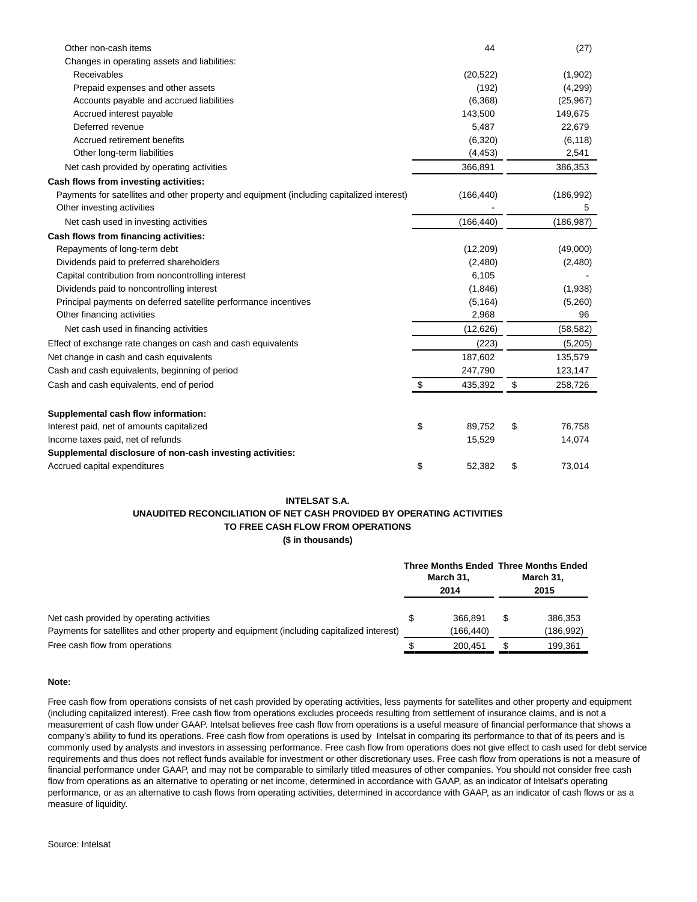| Other non-cash items                                                                      | 44            | (27)          |
|-------------------------------------------------------------------------------------------|---------------|---------------|
| Changes in operating assets and liabilities:                                              |               |               |
| Receivables                                                                               | (20, 522)     | (1,902)       |
| Prepaid expenses and other assets                                                         | (192)         | (4,299)       |
| Accounts payable and accrued liabilities                                                  | (6,368)       | (25, 967)     |
| Accrued interest payable                                                                  | 143,500       | 149,675       |
| Deferred revenue                                                                          | 5,487         | 22,679        |
| Accrued retirement benefits                                                               | (6,320)       | (6, 118)      |
| Other long-term liabilities                                                               | (4, 453)      | 2,541         |
| Net cash provided by operating activities                                                 | 366,891       | 386,353       |
| Cash flows from investing activities:                                                     |               |               |
| Payments for satellites and other property and equipment (including capitalized interest) | (166, 440)    | (186, 992)    |
| Other investing activities                                                                |               | 5             |
| Net cash used in investing activities                                                     | (166, 440)    | (186, 987)    |
| Cash flows from financing activities:                                                     |               |               |
| Repayments of long-term debt                                                              | (12, 209)     | (49,000)      |
| Dividends paid to preferred shareholders                                                  | (2,480)       | (2,480)       |
| Capital contribution from noncontrolling interest                                         | 6,105         |               |
| Dividends paid to noncontrolling interest                                                 | (1,846)       | (1,938)       |
| Principal payments on deferred satellite performance incentives                           | (5, 164)      | (5,260)       |
| Other financing activities                                                                | 2,968         | 96            |
| Net cash used in financing activities                                                     | (12, 626)     | (58, 582)     |
| Effect of exchange rate changes on cash and cash equivalents                              | (223)         | (5,205)       |
| Net change in cash and cash equivalents                                                   | 187,602       | 135,579       |
| Cash and cash equivalents, beginning of period                                            | 247,790       | 123,147       |
| Cash and cash equivalents, end of period                                                  | \$<br>435,392 | \$<br>258,726 |
| Supplemental cash flow information:                                                       |               |               |
| Interest paid, net of amounts capitalized                                                 | \$<br>89,752  | \$<br>76,758  |
| Income taxes paid, net of refunds                                                         | 15,529        | 14,074        |
| Supplemental disclosure of non-cash investing activities:                                 |               |               |
| Accrued capital expenditures                                                              | \$<br>52,382  | \$<br>73.014  |

### **INTELSAT S.A.**

# **UNAUDITED RECONCILIATION OF NET CASH PROVIDED BY OPERATING ACTIVITIES TO FREE CASH FLOW FROM OPERATIONS (\$ in thousands)**

|                                                                                                                                        | March 31.<br>2014 |                      | Three Months Ended Three Months Ended<br>March 31.<br>2015 |                      |
|----------------------------------------------------------------------------------------------------------------------------------------|-------------------|----------------------|------------------------------------------------------------|----------------------|
| Net cash provided by operating activities<br>Payments for satellites and other property and equipment (including capitalized interest) |                   | 366.891<br>(166.440) |                                                            | 386.353<br>(186,992) |
| Free cash flow from operations                                                                                                         |                   | 200.451              |                                                            | 199.361              |

### **Note:**

Free cash flow from operations consists of net cash provided by operating activities, less payments for satellites and other property and equipment (including capitalized interest). Free cash flow from operations excludes proceeds resulting from settlement of insurance claims, and is not a measurement of cash flow under GAAP. Intelsat believes free cash flow from operations is a useful measure of financial performance that shows a company's ability to fund its operations. Free cash flow from operations is used by Intelsat in comparing its performance to that of its peers and is commonly used by analysts and investors in assessing performance. Free cash flow from operations does not give effect to cash used for debt service requirements and thus does not reflect funds available for investment or other discretionary uses. Free cash flow from operations is not a measure of financial performance under GAAP, and may not be comparable to similarly titled measures of other companies. You should not consider free cash flow from operations as an alternative to operating or net income, determined in accordance with GAAP, as an indicator of Intelsat's operating performance, or as an alternative to cash flows from operating activities, determined in accordance with GAAP, as an indicator of cash flows or as a measure of liquidity.